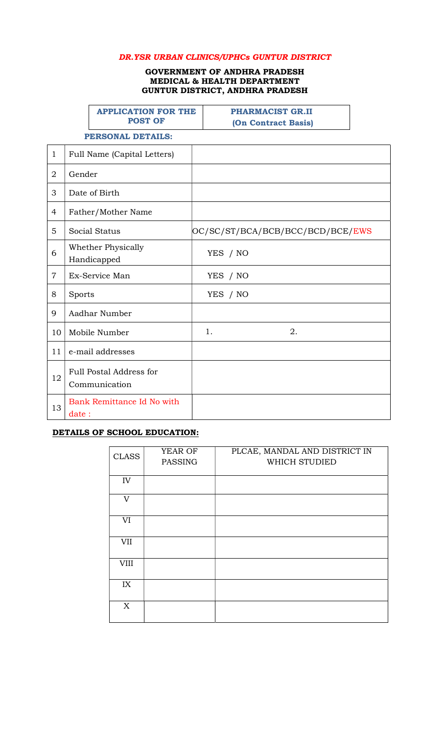### DR.YSR URBAN CLINICS/UPHCs GUNTUR DISTRICT

#### GOVERNMENT OF ANDHRA PRADESH MEDICAL & HEALTH DEPARTMENT GUNTUR DISTRICT, ANDHRA PRADESH

|                |                    | <b>APPLICATION FOR THE</b><br><b>POST OF</b>    | <b>PHARMACIST GR.II</b><br>(On Contract Basis) |
|----------------|--------------------|-------------------------------------------------|------------------------------------------------|
|                |                    | <b>PERSONAL DETAILS:</b>                        |                                                |
| $\mathbf{1}$   |                    | Full Name (Capital Letters)                     |                                                |
| $\overline{2}$ | Gender             |                                                 |                                                |
| 3              | Date of Birth      |                                                 |                                                |
| 4              | Father/Mother Name |                                                 |                                                |
| 5              | Social Status      |                                                 | OC/SC/ST/BCA/BCB/BCC/BCD/BCE/EWS               |
| 6              |                    | Whether Physically<br>Handicapped               | YES / NO                                       |
| $\overline{7}$ |                    | Ex-Service Man                                  | YES / NO                                       |
| 8              | Sports             |                                                 | YES / NO                                       |
| 9              |                    | Aadhar Number                                   |                                                |
| 10             |                    | Mobile Number                                   | 2.<br>1.                                       |
| 11             |                    | e-mail addresses                                |                                                |
| 12             |                    | <b>Full Postal Address for</b><br>Communication |                                                |
| 13             | date:              | Bank Remittance Id No with                      |                                                |

## DETAILS OF SCHOOL EDUCATION:

| <b>CLASS</b> | YEAR OF<br><b>PASSING</b> | PLCAE, MANDAL AND DISTRICT IN<br>WHICH STUDIED |
|--------------|---------------------------|------------------------------------------------|
| IV           |                           |                                                |
| V            |                           |                                                |
| VI           |                           |                                                |
| VII          |                           |                                                |
| <b>VIII</b>  |                           |                                                |
| IX           |                           |                                                |
| X            |                           |                                                |